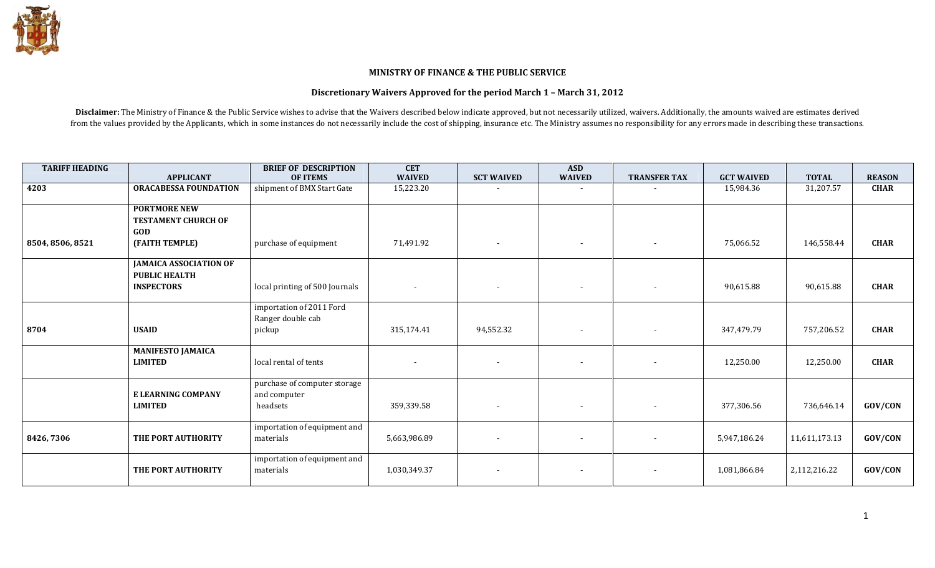## MINISTRY OF FINANCE & THE PUBLIC SERVICE

## Discretionary Waivers Approved for the period March 1 – March 31, 2012

Disclaimer: The Ministry of Finance & the Public Service wishes to advise that the Waivers described below indicate approved, but not necessarily utilized, waivers. Additionally, the amounts waived are estimates derived from the values provided by the Applicants, which in some instances do not necessarily include the cost of shipping, insurance etc. The Ministry assumes no responsibility for any errors made in describing these transaction

| <b>TARIFF HEADING</b> |                                                       | <b>BRIEF OF DESCRIPTION</b>               | <b>CET</b>               |                          | <b>ASD</b>               |                          |                   |               |               |
|-----------------------|-------------------------------------------------------|-------------------------------------------|--------------------------|--------------------------|--------------------------|--------------------------|-------------------|---------------|---------------|
|                       | <b>APPLICANT</b>                                      | <b>OF ITEMS</b>                           | <b>WAIVED</b>            | <b>SCT WAIVED</b>        | <b>WAIVED</b>            | <b>TRANSFER TAX</b>      | <b>GCT WAIVED</b> | <b>TOTAL</b>  | <b>REASON</b> |
| 4203                  | <b>ORACABESSA FOUNDATION</b>                          | shipment of BMX Start Gate                | 15,223.20                |                          | $\sim$                   |                          | 15,984.36         | 31,207.57     | <b>CHAR</b>   |
|                       | <b>PORTMORE NEW</b>                                   |                                           |                          |                          |                          |                          |                   |               |               |
|                       | <b>TESTAMENT CHURCH OF</b><br>GOD                     |                                           |                          |                          |                          |                          |                   |               |               |
| 8504, 8506, 8521      | (FAITH TEMPLE)                                        | purchase of equipment                     | 71,491.92                | $\overline{\phantom{a}}$ | $\overline{\phantom{a}}$ |                          | 75,066.52         | 146,558.44    | <b>CHAR</b>   |
|                       | <b>JAMAICA ASSOCIATION OF</b><br><b>PUBLIC HEALTH</b> |                                           |                          |                          |                          |                          |                   |               |               |
|                       | <b>INSPECTORS</b>                                     | local printing of 500 Journals            | $\overline{\phantom{a}}$ | $\overline{\phantom{a}}$ | $\sim$                   | $\overline{\phantom{a}}$ | 90,615.88         | 90,615.88     | <b>CHAR</b>   |
|                       |                                                       | importation of 2011 Ford                  |                          |                          |                          |                          |                   |               |               |
| 8704                  | <b>USAID</b>                                          | Ranger double cab<br>pickup               | 315,174.41               | 94,552.32                | $\overline{\phantom{a}}$ |                          | 347,479.79        | 757,206.52    | <b>CHAR</b>   |
|                       | <b>MANIFESTO JAMAICA</b><br><b>LIMITED</b>            | local rental of tents                     |                          | $\overline{\phantom{a}}$ | $\overline{\phantom{a}}$ |                          | 12,250.00         | 12,250.00     | <b>CHAR</b>   |
|                       |                                                       | purchase of computer storage              |                          |                          |                          |                          |                   |               |               |
|                       | E LEARNING COMPANY<br><b>LIMITED</b>                  | and computer<br>headsets                  | 359,339.58               | $\overline{\phantom{a}}$ | $\sim$                   |                          | 377,306.56        | 736,646.14    | GOV/CON       |
| 8426,7306             | THE PORT AUTHORITY                                    | importation of equipment and<br>materials | 5,663,986.89             |                          | $\sim$                   |                          | 5,947,186.24      | 11,611,173.13 | GOV/CON       |
|                       | THE PORT AUTHORITY                                    | importation of equipment and<br>materials | 1,030,349.37             | $\sim$                   | $\overline{\phantom{a}}$ |                          | 1,081,866.84      | 2,112,216.22  | GOV/CON       |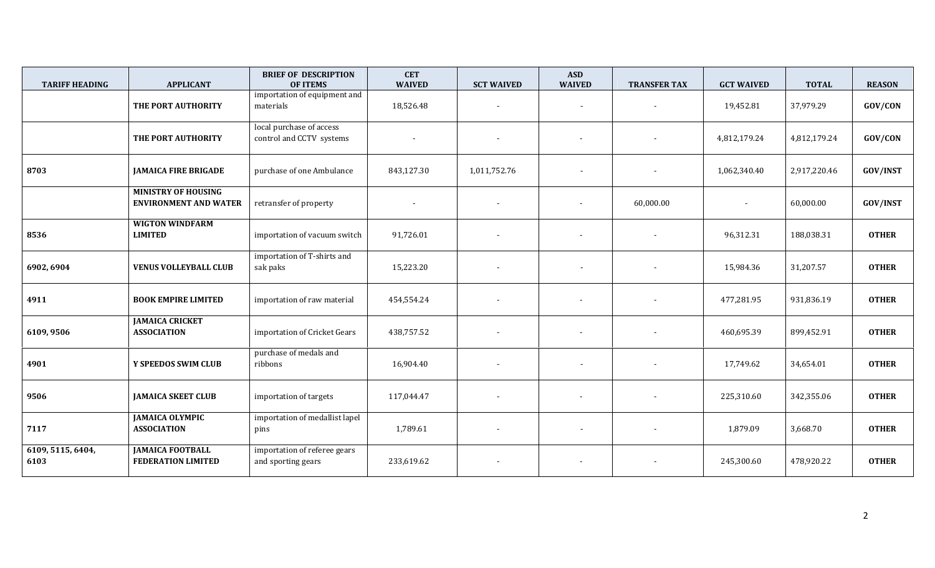| <b>TARIFF HEADING</b>     | <b>APPLICANT</b>                                           | <b>BRIEF OF DESCRIPTION</b><br><b>OF ITEMS</b>       | <b>CET</b><br><b>WAIVED</b> | <b>SCT WAIVED</b>        | <b>ASD</b><br><b>WAIVED</b> | <b>TRANSFER TAX</b>      | <b>GCT WAIVED</b> | <b>TOTAL</b> | <b>REASON</b>   |
|---------------------------|------------------------------------------------------------|------------------------------------------------------|-----------------------------|--------------------------|-----------------------------|--------------------------|-------------------|--------------|-----------------|
|                           | THE PORT AUTHORITY                                         | importation of equipment and<br>materials            | 18,526.48                   | $\overline{\phantom{a}}$ | $\overline{\phantom{a}}$    | $\overline{\phantom{a}}$ | 19,452.81         | 37,979.29    | GOV/CON         |
|                           | THE PORT AUTHORITY                                         | local purchase of access<br>control and CCTV systems |                             |                          | $\blacksquare$              |                          | 4,812,179.24      | 4,812,179.24 | GOV/CON         |
| 8703                      | <b>JAMAICA FIRE BRIGADE</b>                                | purchase of one Ambulance                            | 843,127.30                  | 1,011,752.76             |                             |                          | 1,062,340.40      | 2,917,220.46 | <b>GOV/INST</b> |
|                           | <b>MINISTRY OF HOUSING</b><br><b>ENVIRONMENT AND WATER</b> | retransfer of property                               |                             |                          |                             | 60,000.00                |                   | 60,000.00    | <b>GOV/INST</b> |
| 8536                      | <b>WIGTON WINDFARM</b><br><b>LIMITED</b>                   | importation of vacuum switch                         | 91,726.01                   |                          |                             | $\blacksquare$           | 96,312.31         | 188,038.31   | <b>OTHER</b>    |
| 6902, 6904                | <b>VENUS VOLLEYBALL CLUB</b>                               | importation of T-shirts and<br>sak paks              | 15,223.20                   |                          | $\overline{\phantom{a}}$    |                          | 15,984.36         | 31,207.57    | <b>OTHER</b>    |
| 4911                      | <b>BOOK EMPIRE LIMITED</b>                                 | importation of raw material                          | 454,554.24                  |                          |                             |                          | 477,281.95        | 931,836.19   | <b>OTHER</b>    |
| 6109,9506                 | <b>JAMAICA CRICKET</b><br><b>ASSOCIATION</b>               | importation of Cricket Gears                         | 438,757.52                  |                          |                             | $\overline{\phantom{a}}$ | 460,695.39        | 899,452.91   | <b>OTHER</b>    |
| 4901                      | Y SPEEDOS SWIM CLUB                                        | purchase of medals and<br>ribbons                    | 16,904.40                   |                          |                             |                          | 17,749.62         | 34,654.01    | <b>OTHER</b>    |
| 9506                      | <b>JAMAICA SKEET CLUB</b>                                  | importation of targets                               | 117,044.47                  |                          |                             |                          | 225,310.60        | 342,355.06   | <b>OTHER</b>    |
| 7117                      | <b>JAMAICA OLYMPIC</b><br><b>ASSOCIATION</b>               | importation of medallist lapel<br>pins               | 1,789.61                    |                          | $\overline{\phantom{a}}$    | $\overline{a}$           | 1,879.09          | 3,668.70     | <b>OTHER</b>    |
| 6109, 5115, 6404,<br>6103 | <b>JAMAICA FOOTBALL</b><br><b>FEDERATION LIMITED</b>       | importation of referee gears<br>and sporting gears   | 233,619.62                  |                          |                             | $\overline{\phantom{a}}$ | 245,300.60        | 478,920.22   | <b>OTHER</b>    |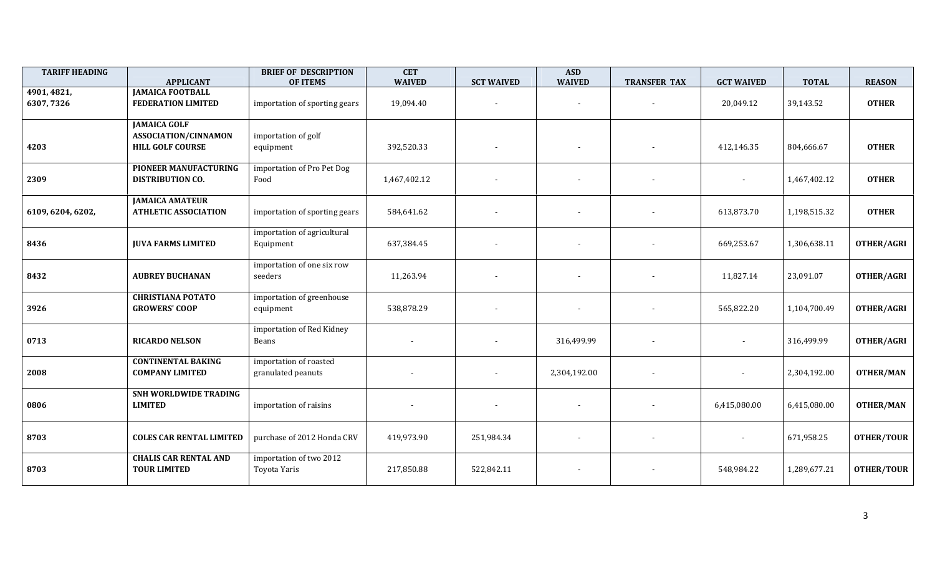| <b>TARIFF HEADING</b>    | <b>APPLICANT</b>                                                              | <b>BRIEF OF DESCRIPTION</b><br><b>OF ITEMS</b> | <b>CET</b><br><b>WAIVED</b> | <b>SCT WAIVED</b> | <b>ASD</b><br><b>WAIVED</b> | <b>TRANSFER TAX</b>      | <b>GCT WAIVED</b> | <b>TOTAL</b> | <b>REASON</b>     |
|--------------------------|-------------------------------------------------------------------------------|------------------------------------------------|-----------------------------|-------------------|-----------------------------|--------------------------|-------------------|--------------|-------------------|
| 4901, 4821,<br>6307,7326 | <b>JAMAICA FOOTBALL</b><br><b>FEDERATION LIMITED</b>                          | importation of sporting gears                  | 19,094.40                   |                   | $\overline{\phantom{a}}$    | $\overline{\phantom{a}}$ | 20,049.12         | 39,143.52    | <b>OTHER</b>      |
| 4203                     | <b>JAMAICA GOLF</b><br><b>ASSOCIATION/CINNAMON</b><br><b>HILL GOLF COURSE</b> | importation of golf<br>equipment               | 392,520.33                  |                   | $\overline{\phantom{a}}$    |                          | 412,146.35        | 804,666.67   | <b>OTHER</b>      |
| 2309                     | <b>PIONEER MANUFACTURING</b><br><b>DISTRIBUTION CO.</b>                       | importation of Pro Pet Dog<br>Food             | 1,467,402.12                |                   |                             |                          |                   | 1,467,402.12 | <b>OTHER</b>      |
| 6109, 6204, 6202,        | <b>JAMAICA AMATEUR</b><br><b>ATHLETIC ASSOCIATION</b>                         | importation of sporting gears                  | 584,641.62                  |                   |                             |                          | 613,873.70        | 1,198,515.32 | <b>OTHER</b>      |
| 8436                     | <b>JUVA FARMS LIMITED</b>                                                     | importation of agricultural<br>Equipment       | 637,384.45                  |                   |                             |                          | 669,253.67        | 1,306,638.11 | <b>OTHER/AGRI</b> |
| 8432                     | <b>AUBREY BUCHANAN</b>                                                        | importation of one six row<br>seeders          | 11,263.94                   |                   |                             |                          | 11,827.14         | 23,091.07    | OTHER/AGRI        |
| 3926                     | <b>CHRISTIANA POTATO</b><br><b>GROWERS' COOP</b>                              | importation of greenhouse<br>equipment         | 538,878.29                  |                   |                             |                          | 565,822.20        | 1,104,700.49 | <b>OTHER/AGRI</b> |
| 0713                     | <b>RICARDO NELSON</b>                                                         | importation of Red Kidney<br>Beans             |                             |                   | 316,499.99                  |                          |                   | 316,499.99   | <b>OTHER/AGRI</b> |
| 2008                     | <b>CONTINENTAL BAKING</b><br><b>COMPANY LIMITED</b>                           | importation of roasted<br>granulated peanuts   |                             |                   | 2,304,192.00                |                          |                   | 2,304,192.00 | <b>OTHER/MAN</b>  |
| 0806                     | SNH WORLDWIDE TRADING<br><b>LIMITED</b>                                       | importation of raisins                         |                             |                   | $\overline{\phantom{a}}$    |                          | 6,415,080.00      | 6,415,080.00 | <b>OTHER/MAN</b>  |
| 8703                     | <b>COLES CAR RENTAL LIMITED</b>                                               | purchase of 2012 Honda CRV                     | 419,973.90                  | 251,984.34        |                             |                          |                   | 671,958.25   | <b>OTHER/TOUR</b> |
| 8703                     | <b>CHALIS CAR RENTAL AND</b><br><b>TOUR LIMITED</b>                           | importation of two 2012<br>Toyota Yaris        | 217,850.88                  | 522,842.11        |                             |                          | 548,984.22        | 1,289,677.21 | <b>OTHER/TOUR</b> |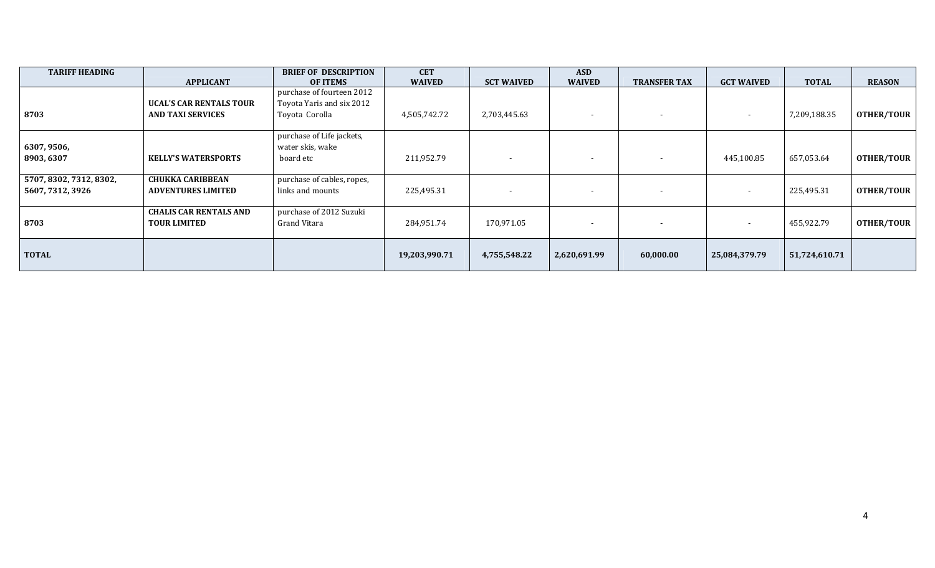| <b>TARIFF HEADING</b>                       | <b>APPLICANT</b>                                           | <b>BRIEF OF DESCRIPTION</b><br><b>OF ITEMS</b>                           | <b>CET</b><br><b>WAIVED</b> | <b>SCT WAIVED</b>        | <b>ASD</b><br><b>WAIVED</b> | <b>TRANSFER TAX</b>      | <b>GCT WAIVED</b>        | <b>TOTAL</b>  | <b>REASON</b>     |
|---------------------------------------------|------------------------------------------------------------|--------------------------------------------------------------------------|-----------------------------|--------------------------|-----------------------------|--------------------------|--------------------------|---------------|-------------------|
| 8703                                        | <b>UCAL'S CAR RENTALS TOUR</b><br><b>AND TAXI SERVICES</b> | purchase of fourteen 2012<br>Toyota Yaris and six 2012<br>Toyota Corolla | 4,505,742.72                | 2,703,445.63             | $\overline{\phantom{a}}$    | $\overline{\phantom{a}}$ | $\overline{\phantom{0}}$ | 7,209,188.35  | <b>OTHER/TOUR</b> |
| 6307, 9506,<br>8903,6307                    | <b>KELLY'S WATERSPORTS</b>                                 | purchase of Life jackets,<br>water skis, wake<br>board etc               | 211,952.79                  |                          | $\overline{\phantom{a}}$    | $\overline{\phantom{a}}$ | 445,100.85               | 657,053.64    | <b>OTHER/TOUR</b> |
| 5707, 8302, 7312, 8302,<br>5607, 7312, 3926 | <b>CHUKKA CARIBBEAN</b><br><b>ADVENTURES LIMITED</b>       | purchase of cables, ropes,<br>links and mounts                           | 225,495.31                  | $\overline{\phantom{a}}$ | $\overline{\phantom{a}}$    | $\overline{\phantom{a}}$ |                          | 225,495.31    | <b>OTHER/TOUR</b> |
| 8703                                        | <b>CHALIS CAR RENTALS AND</b><br><b>TOUR LIMITED</b>       | purchase of 2012 Suzuki<br>Grand Vitara                                  | 284,951.74                  | 170,971.05               | $\overline{\phantom{a}}$    | $\overline{\phantom{a}}$ |                          | 455,922.79    | <b>OTHER/TOUR</b> |
| <b>TOTAL</b>                                |                                                            |                                                                          | 19,203,990.71               | 4,755,548.22             | 2,620,691.99                | 60,000.00                | 25,084,379.79            | 51,724,610.71 |                   |